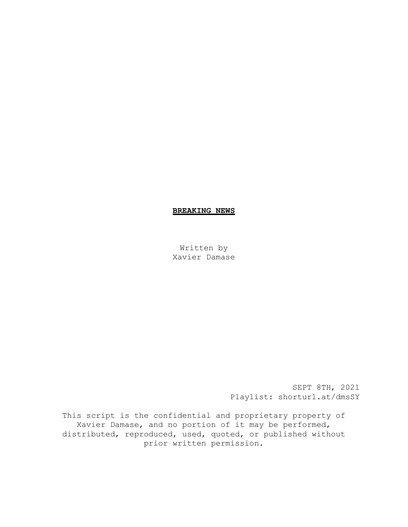# **BREAKING NEWS**

Written by Xavier Damase

> SEPT 8TH, 2021 Playlist: shorturl.at/dmsSY

This script is the confidential and proprietary property of Xavier Damase, and no portion of it may be performed, distributed, reproduced, used, quoted, or published without prior written permission.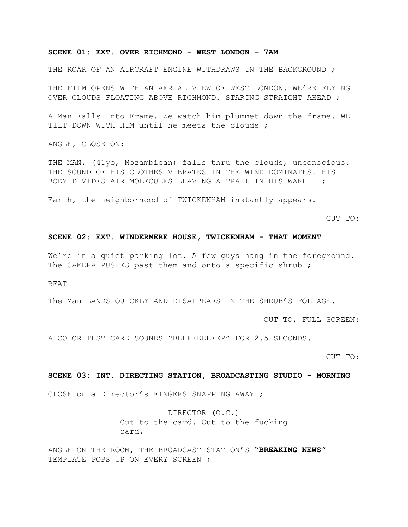# **SCENE 01: EXT. OVER RICHMOND - WEST LONDON - 7AM**

THE ROAR OF AN AIRCRAFT ENGINE WITHDRAWS IN THE BACKGROUND ;

THE FILM OPENS WITH AN AERIAL VIEW OF WEST LONDON. WE'RE FLYING OVER CLOUDS FLOATING ABOVE RICHMOND. STARING STRAIGHT AHEAD ;

A Man Falls Into Frame. We watch him plummet down the frame. WE TILT DOWN WITH HIM until he meets the clouds ;

ANGLE, CLOSE ON:

THE MAN, (41yo, Mozambican) falls thru the clouds, unconscious. THE SOUND OF HIS CLOTHES VIBRATES IN THE WIND DOMINATES. HIS BODY DIVIDES AIR MOLECULES LEAVING A TRAIL IN HIS WAKE ;

Earth, the neighborhood of TWICKENHAM instantly appears.

CUT TO:

### **SCENE 02: EXT. WINDERMERE HOUSE, TWICKENHAM - THAT MOMENT**

We're in a quiet parking lot. A few guys hang in the foreground. The CAMERA PUSHES past them and onto a specific shrub;

BEAT

The Man LANDS QUICKLY AND DISAPPEARS IN THE SHRUB'S FOLIAGE.

CUT TO, FULL SCREEN:

A COLOR TEST CARD SOUNDS "BEEEEEEEEEP" FOR 2.5 SECONDS.

CUT TO:

# **SCENE 03: INT. DIRECTING STATION, BROADCASTING STUDIO - MORNING**

CLOSE on a Director's FINGERS SNAPPING AWAY ;

DIRECTOR (O.C.) Cut to the card. Cut to the fucking card.

ANGLE ON THE ROOM, THE BROADCAST STATION'S "**BREAKING NEWS**" TEMPLATE POPS UP ON EVERY SCREEN ;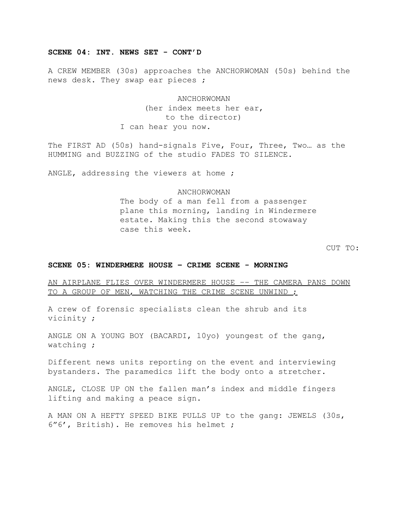# **SCENE 04: INT. NEWS SET - CONT'D**

A CREW MEMBER (30s) approaches the ANCHORWOMAN (50s) behind the news desk. They swap ear pieces ;

> ANCHORWOMAN (her index meets her ear, to the director) I can hear you now.

The FIRST AD (50s) hand-signals Five, Four, Three, Two… as the HUMMING and BUZZING of the studio FADES TO SILENCE.

ANGLE, addressing the viewers at home ;

### ANCHORWOMAN

The body of a man fell from a passenger plane this morning, landing in Windermere estate. Making this the second stowaway case this week.

CUT TO:

### **SCENE 05: WINDERMERE HOUSE – CRIME SCENE - MORNING**

AN AIRPLANE FLIES OVER WINDERMERE HOUSE –– THE CAMERA PANS DOWN TO A GROUP OF MEN, WATCHING THE CRIME SCENE UNWIND :

A crew of forensic specialists clean the shrub and its vicinity ;

ANGLE ON A YOUNG BOY (BACARDI, 10yo) youngest of the gang, watching ;

Different news units reporting on the event and interviewing bystanders. The paramedics lift the body onto a stretcher.

ANGLE, CLOSE UP ON the fallen man's index and middle fingers lifting and making a peace sign.

A MAN ON A HEFTY SPEED BIKE PULLS UP to the gang: JEWELS (30s, 6"6', British). He removes his helmet ;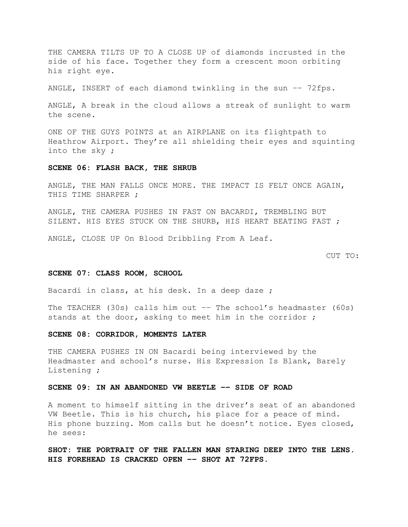THE CAMERA TILTS UP TO A CLOSE UP of diamonds incrusted in the side of his face. Together they form a crescent moon orbiting his right eye.

ANGLE, INSERT of each diamond twinkling in the sun –– 72fps.

ANGLE, A break in the cloud allows a streak of sunlight to warm the scene.

ONE OF THE GUYS POINTS at an AIRPLANE on its flightpath to Heathrow Airport. They're all shielding their eyes and squinting into the sky ;

### **SCENE 06: FLASH BACK, THE SHRUB**

ANGLE, THE MAN FALLS ONCE MORE. THE IMPACT IS FELT ONCE AGAIN, THIS TIME SHARPER ;

ANGLE, THE CAMERA PUSHES IN FAST ON BACARDI, TREMBLING BUT SILENT. HIS EYES STUCK ON THE SHURB, HIS HEART BEATING FAST ;

ANGLE, CLOSE UP On Blood Dribbling From A Leaf.

CUT TO:

# **SCENE 07: CLASS ROOM, SCHOOL**

Bacardi in class, at his desk. In a deep daze ;

The TEACHER (30s) calls him out –– The school's headmaster (60s) stands at the door, asking to meet him in the corridor ;

### **SCENE 08: CORRIDOR, MOMENTS LATER**

THE CAMERA PUSHES IN ON Bacardi being interviewed by the Headmaster and school's nurse. His Expression Is Blank, Barely Listening ;

### **SCENE 09: IN AN ABANDONED VW BEETLE –– SIDE OF ROAD**

A moment to himself sitting in the driver's seat of an abandoned VW Beetle. This is his church, his place for a peace of mind. His phone buzzing. Mom calls but he doesn't notice. Eyes closed, he sees:

**SHOT: THE PORTRAIT OF THE FALLEN MAN STARING DEEP INTO THE LENS. HIS FOREHEAD IS CRACKED OPEN –– SHOT AT 72FPS.**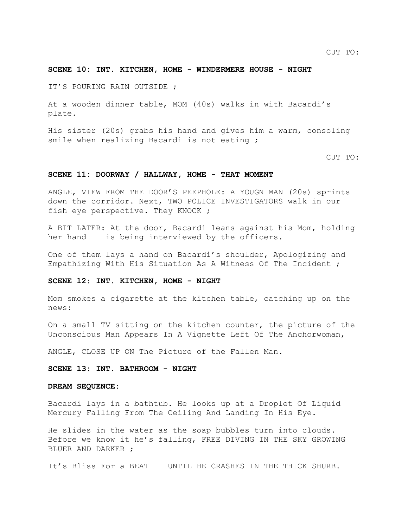# **SCENE 10: INT. KITCHEN, HOME - WINDERMERE HOUSE - NIGHT**

IT'S POURING RAIN OUTSIDE ;

At a wooden dinner table, MOM (40s) walks in with Bacardi's plate.

His sister (20s) grabs his hand and gives him a warm, consoling smile when realizing Bacardi is not eating ;

CUT TO:

### **SCENE 11: DOORWAY / HALLWAY, HOME - THAT MOMENT**

ANGLE, VIEW FROM THE DOOR'S PEEPHOLE: A YOUGN MAN (20s) sprints down the corridor. Next, TWO POLICE INVESTIGATORS walk in our fish eye perspective. They KNOCK ;

A BIT LATER: At the door, Bacardi leans against his Mom, holding her hand –– is being interviewed by the officers.

One of them lays a hand on Bacardi's shoulder, Apologizing and Empathizing With His Situation As A Witness Of The Incident ;

### **SCENE 12: INT. KITCHEN, HOME - NIGHT**

Mom smokes a cigarette at the kitchen table, catching up on the news:

On a small TV sitting on the kitchen counter, the picture of the Unconscious Man Appears In A Vignette Left Of The Anchorwoman,

ANGLE, CLOSE UP ON The Picture of the Fallen Man.

### **SCENE 13: INT. BATHROOM - NIGHT**

#### **DREAM SEQUENCE:**

Bacardi lays in a bathtub. He looks up at a Droplet Of Liquid Mercury Falling From The Ceiling And Landing In His Eye.

He slides in the water as the soap bubbles turn into clouds. Before we know it he's falling, FREE DIVING IN THE SKY GROWING BLUER AND DARKER ;

It's Bliss For a BEAT –– UNTIL HE CRASHES IN THE THICK SHURB.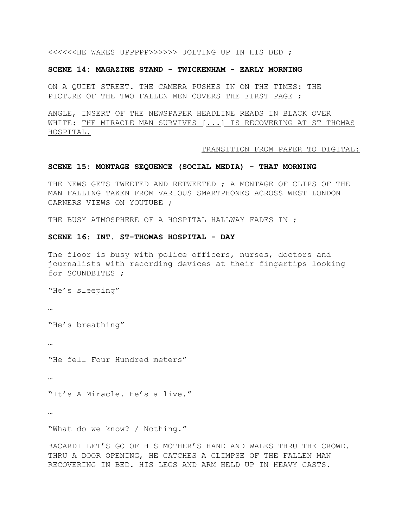<<<<<<HE WAKES UPPPPP>>>>>> JOLTING UP IN HIS BED ;

# **SCENE 14: MAGAZINE STAND - TWICKENHAM - EARLY MORNING**

ON A QUIET STREET. THE CAMERA PUSHES IN ON THE TIMES: THE PICTURE OF THE TWO FALLEN MEN COVERS THE FIRST PAGE ;

ANGLE, INSERT OF THE NEWSPAPER HEADLINE READS IN BLACK OVER WHITE: THE MIRACLE MAN SURVIVES [...] IS RECOVERING AT ST THOMAS HOSPITAL.

### TRANSITION FROM PAPER TO DIGITAL:

#### **SCENE 15: MONTAGE SEQUENCE (SOCIAL MEDIA) - THAT MORNING**

THE NEWS GETS TWEETED AND RETWEETED ; A MONTAGE OF CLIPS OF THE MAN FALLING TAKEN FROM VARIOUS SMARTPHONES ACROSS WEST LONDON GARNERS VIEWS ON YOUTUBE ;

THE BUSY ATMOSPHERE OF A HOSPITAL HALLWAY FADES IN ;

### **SCENE 16: INT. ST-THOMAS HOSPITAL - DAY**

The floor is busy with police officers, nurses, doctors and journalists with recording devices at their fingertips looking for SOUNDBITES ;

"He's sleeping"

…

"He's breathing"

…

"He fell Four Hundred meters"

…

"It's A Miracle. He's a live."

…

"What do we know? / Nothing."

BACARDI LET'S GO OF HIS MOTHER'S HAND AND WALKS THRU THE CROWD. THRU A DOOR OPENING, HE CATCHES A GLIMPSE OF THE FALLEN MAN RECOVERING IN BED. HIS LEGS AND ARM HELD UP IN HEAVY CASTS.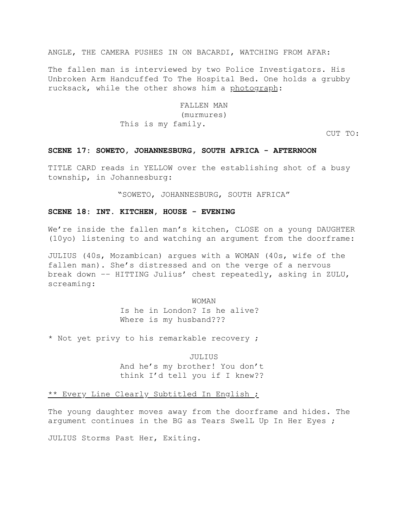ANGLE, THE CAMERA PUSHES IN ON BACARDI, WATCHING FROM AFAR:

The fallen man is interviewed by two Police Investigators. His Unbroken Arm Handcuffed To The Hospital Bed. One holds a grubby rucksack, while the other shows him a photograph:

> FALLEN MAN (murmures) This is my family.

> > CUT TO:

### **SCENE 17: SOWETO, JOHANNESBURG, SOUTH AFRICA - AFTERNOON**

TITLE CARD reads in YELLOW over the establishing shot of a busy township, in Johannesburg:

"SOWETO, JOHANNESBURG, SOUTH AFRICA"

### **SCENE 18: INT. KITCHEN, HOUSE - EVENING**

We're inside the fallen man's kitchen, CLOSE on a young DAUGHTER (10yo) listening to and watching an argument from the doorframe:

JULIUS (40s, Mozambican) argues with a WOMAN (40s, wife of the fallen man). She's distressed and on the verge of a nervous break down –– HITTING Julius' chest repeatedly, asking in ZULU, screaming:

WOMAN

Is he in London? Is he alive? Where is my husband???

\* Not yet privy to his remarkable recovery ;

JULIUS And he's my brother! You don't think I'd tell you if I knew??

# \*\* Every Line Clearly Subtitled In English ;

The young daughter moves away from the doorframe and hides. The argument continues in the BG as Tears Swell Up In Her Eyes ;

JULIUS Storms Past Her, Exiting.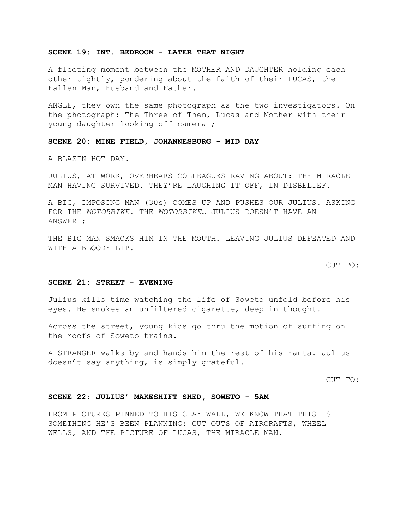# **SCENE 19: INT. BEDROOM - LATER THAT NIGHT**

A fleeting moment between the MOTHER AND DAUGHTER holding each other tightly, pondering about the faith of their LUCAS, the Fallen Man, Husband and Father.

ANGLE, they own the same photograph as the two investigators. On the photograph: The Three of Them, Lucas and Mother with their young daughter looking off camera ;

**SCENE 20: MINE FIELD, JOHANNESBURG - MID DAY**

A BLAZIN HOT DAY.

JULIUS, AT WORK, OVERHEARS COLLEAGUES RAVING ABOUT: THE MIRACLE MAN HAVING SURVIVED. THEY'RE LAUGHING IT OFF, IN DISBELIEF.

A BIG, IMPOSING MAN (30s) COMES UP AND PUSHES OUR JULIUS. ASKING FOR THE *MOTORBIKE*. THE *MOTORBIKE*… JULIUS DOESN'T HAVE AN ANSWER ;

THE BIG MAN SMACKS HIM IN THE MOUTH. LEAVING JULIUS DEFEATED AND WITH A BLOODY LIP.

CUT TO:

#### **SCENE 21: STREET - EVENING**

Julius kills time watching the life of Soweto unfold before his eyes. He smokes an unfiltered cigarette, deep in thought.

Across the street, young kids go thru the motion of surfing on the roofs of Soweto trains.

A STRANGER walks by and hands him the rest of his Fanta. Julius doesn't say anything, is simply grateful.

CUT TO:

#### **SCENE 22: JULIUS' MAKESHIFT SHED, SOWETO - 5AM**

FROM PICTURES PINNED TO HIS CLAY WALL, WE KNOW THAT THIS IS SOMETHING HE'S BEEN PLANNING: CUT OUTS OF AIRCRAFTS, WHEEL WELLS, AND THE PICTURE OF LUCAS, THE MIRACLE MAN.